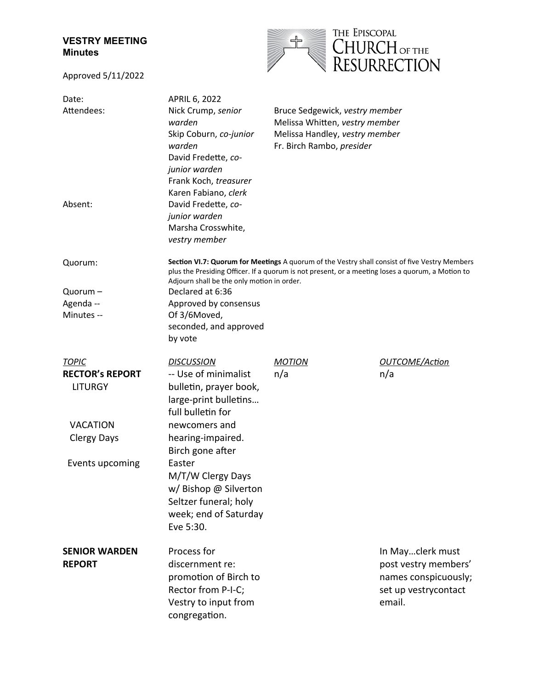## **VESTRY MEETING Minutes**

Approved 5/11/2022



| Date:<br>Attendees:                      | APRIL 6, 2022<br>Nick Crump, senior<br>warden<br>Skip Coburn, co-junior<br>warden<br>David Fredette, co-<br>junior warden<br>Frank Koch, treasurer                                                                                              | Bruce Sedgewick, vestry member<br>Melissa Whitten, vestry member<br>Melissa Handley, vestry member<br>Fr. Birch Rambo, presider |                                                                                                    |
|------------------------------------------|-------------------------------------------------------------------------------------------------------------------------------------------------------------------------------------------------------------------------------------------------|---------------------------------------------------------------------------------------------------------------------------------|----------------------------------------------------------------------------------------------------|
| Absent:                                  | Karen Fabiano, clerk<br>David Fredette, co-<br>junior warden<br>Marsha Crosswhite,<br>vestry member                                                                                                                                             |                                                                                                                                 |                                                                                                    |
| Quorum:                                  | Section VI.7: Quorum for Meetings A quorum of the Vestry shall consist of five Vestry Members<br>plus the Presiding Officer. If a quorum is not present, or a meeting loses a quorum, a Motion to<br>Adjourn shall be the only motion in order. |                                                                                                                                 |                                                                                                    |
| Quorum -                                 | Declared at 6:36                                                                                                                                                                                                                                |                                                                                                                                 |                                                                                                    |
| Agenda --                                | Approved by consensus                                                                                                                                                                                                                           |                                                                                                                                 |                                                                                                    |
| Minutes --                               | Of 3/6Moved,<br>seconded, and approved<br>by vote                                                                                                                                                                                               |                                                                                                                                 |                                                                                                    |
| <b>TOPIC</b>                             | <b>DISCUSSION</b>                                                                                                                                                                                                                               | <b>MOTION</b>                                                                                                                   | <b>OUTCOME/Action</b>                                                                              |
| <b>RECTOR's REPORT</b><br><b>LITURGY</b> | -- Use of minimalist<br>bulletin, prayer book,<br>large-print bulletins<br>full bulletin for                                                                                                                                                    | n/a                                                                                                                             | n/a                                                                                                |
| <b>VACATION</b>                          | newcomers and                                                                                                                                                                                                                                   |                                                                                                                                 |                                                                                                    |
| <b>Clergy Days</b>                       | hearing-impaired.<br>Birch gone after                                                                                                                                                                                                           |                                                                                                                                 |                                                                                                    |
| Events upcoming                          | Easter<br>M/T/W Clergy Days<br>w/ Bishop @ Silverton<br>Seltzer funeral; holy<br>week; end of Saturday<br>Eve 5:30.                                                                                                                             |                                                                                                                                 |                                                                                                    |
| <b>SENIOR WARDEN</b><br><b>REPORT</b>    | Process for<br>discernment re:<br>promotion of Birch to<br>Rector from P-I-C;<br>Vestry to input from<br>congregation.                                                                                                                          |                                                                                                                                 | In Mayclerk must<br>post vestry members'<br>names conspicuously;<br>set up vestrycontact<br>email. |